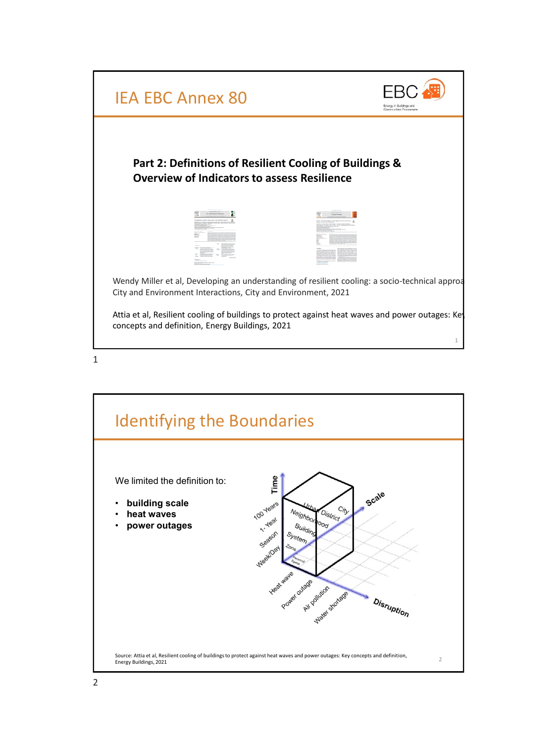

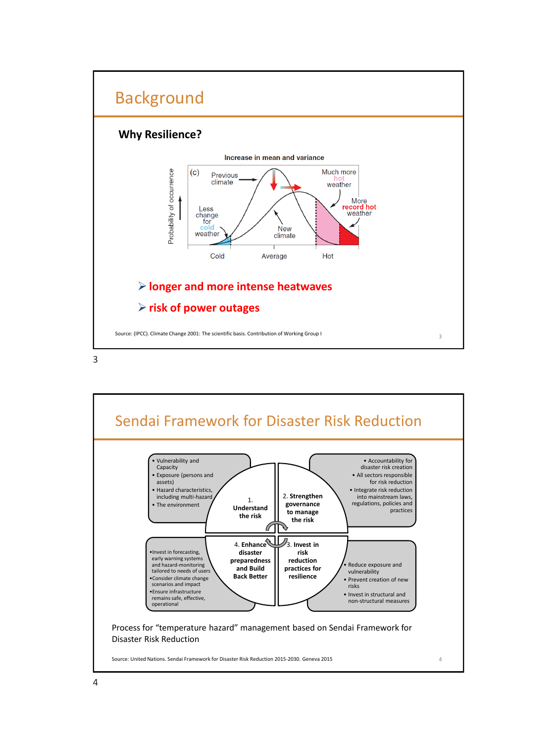

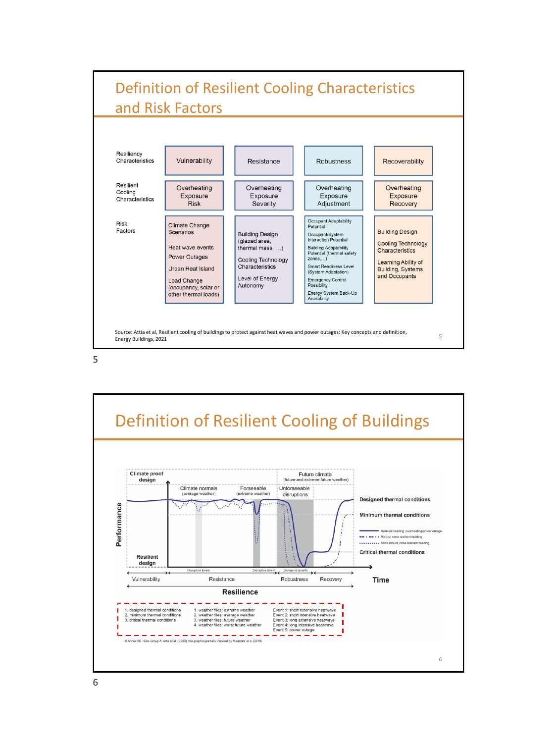

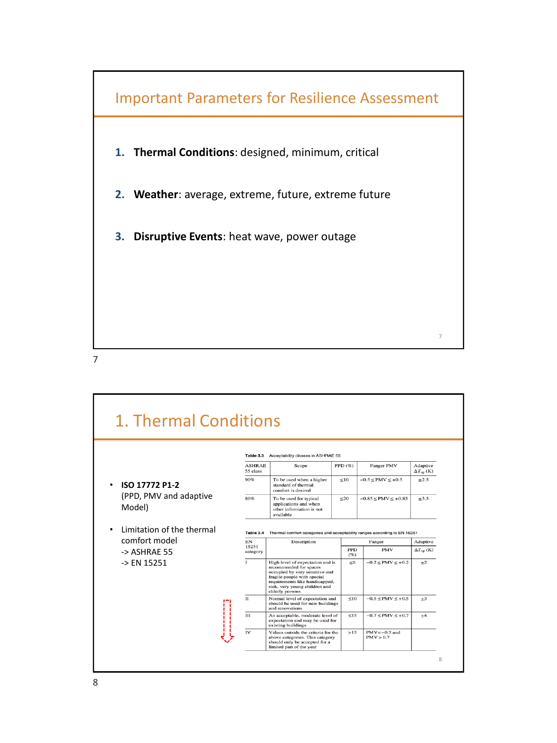

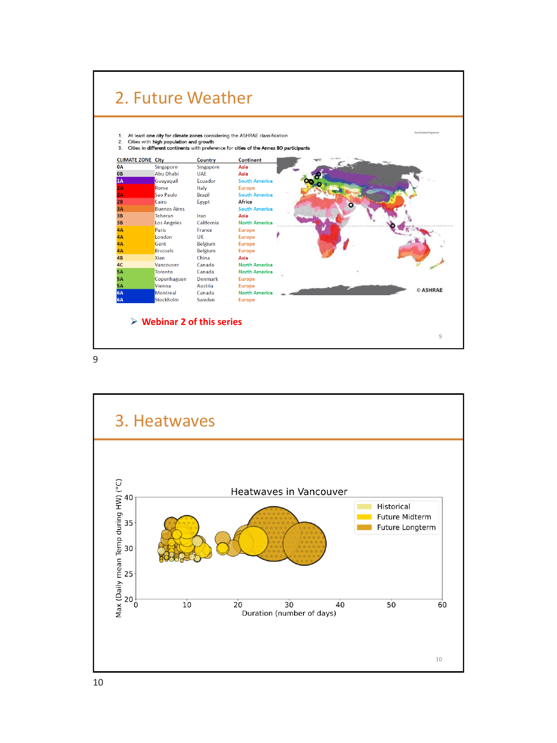

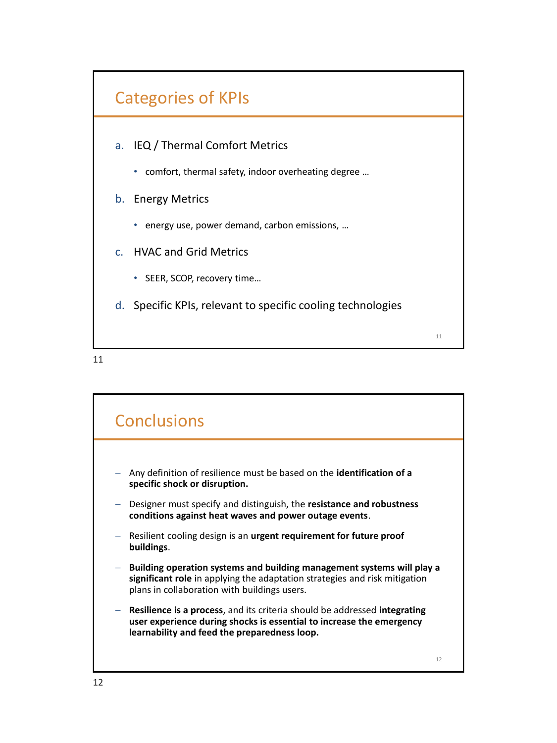

- a. IEQ / Thermal Comfort Metrics
	- comfort, thermal safety, indoor overheating degree …
- b. Energy Metrics
	- energy use, power demand, carbon emissions, …
- c. HVAC and Grid Metrics
	- SEER, SCOP, recovery time…
- d. Specific KPIs, relevant to specific cooling technologies